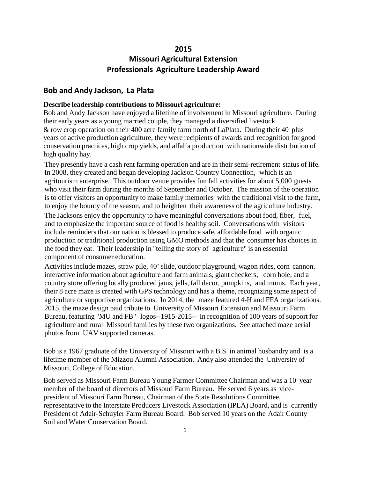## **2015**

# **Missouri Agricultural Extension Professionals Agriculture Leadership Award**

### **Bob and Andy Jackson, La Plata**

#### **Describe leadership contributions to Missouri agriculture:**

Bob and Andy Jackson have enjoyed a lifetime of involvement in Missouri agriculture. During their early years as a young married couple, they managed a diversified livestock & row crop operation on their 400 acre family farm north of LaPlata. During their 40 plus years of active production agriculture, they were recipients of awards and recognition for good conservation practices, high crop yields, and alfalfa production with nationwide distribution of high quality hay.

They presently have a cash rent farming operation and are in their semi-retirement status of life. In 2008, they created and began developing Jackson Country Connection, which is an agritourism enterprise. This outdoor venue provides fun fall activities for about 5,000 guests who visit their farm during the months of September and October. The mission of the operation is to offer visitors an opportunity to make family memories with the traditional visit to the farm, to enjoy the bounty of the season, and to heighten their awareness of the agriculture industry.

The Jacksons enjoy the opportunity to have meaningful conversations about food, fiber, fuel, and to emphasize the important source of food is healthy soil. Conversations with visitors include reminders that our nation is blessed to produce safe, affordable food with organic production or traditional production using GMO methods and that the consumer has choices in the food they eat. Their leadership in "telling the story of agriculture" is an essential component of consumer education.

Activities include mazes, straw pile, 40' slide, outdoor playground, wagon rides, corn cannon, interactive information about agriculture and farm animals, giant checkers, corn hole, and a country store offering locally produced jams, jells, fall decor, pumpkins, and mums. Each year, their 8 acre maze is created with GPS technology and has a theme, recognizing some aspect of agriculture or supportive organizations. In 2014, the maze featured 4-H and FFA organizations. 2015, the maze design paid tribute to University of Missouri Extension and Missouri Farm Bureau, featuring "MU and FB" logos--1915-2015-- in recognition of 100 years of support for agriculture and rural Missouri families by these two organizations. See attached maze aerial photos from UAV supported cameras.

Bob is a 1967 graduate of the University of Missouri with a B.S. in animal husbandry and is a lifetime member of the Mizzou Alumni Association. Andy also attended the University of Missouri, College of Education.

Bob served as Missouri Farm Bureau Young Farmer Committee Chairman and was a 10 year member of the board of directors of Missouri Farm Bureau. He served 6 years as vicepresident of Missouri Farm Bureau, Chairman of the State Resolutions Committee, representative to the Interstate Producers Livestock Association (IPLA) Board, and is currently President of Adair-Schuyler Farm Bureau Board. Bob served 10 years on the Adair County Soil and Water Conservation Board.